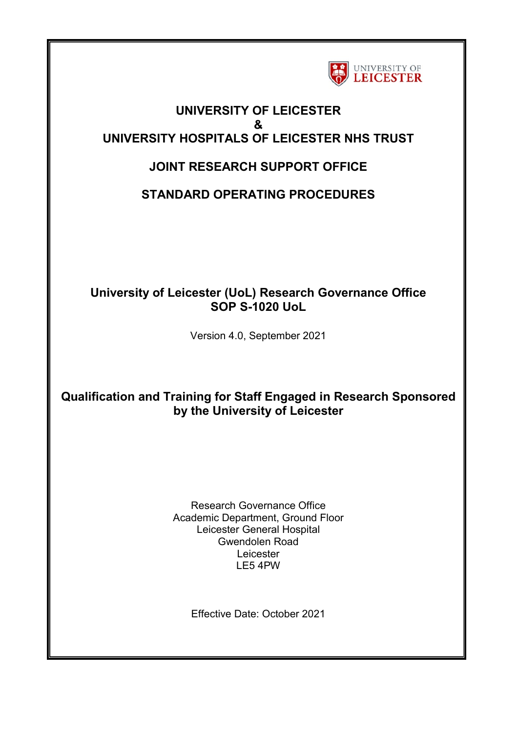

## **UNIVERSITY OF LEICESTER & UNIVERSITY HOSPITALS OF LEICESTER NHS TRUST**

# **JOINT RESEARCH SUPPORT OFFICE**

**STANDARD OPERATING PROCEDURES**

## **University of Leicester (UoL) Research Governance Office SOP S-1020 UoL**

Version 4.0, September 2021

# **Qualification and Training for Staff Engaged in Research Sponsored by the University of Leicester**

Research Governance Office Academic Department, Ground Floor Leicester General Hospital Gwendolen Road Leicester LE5 4PW

Effective Date: October 2021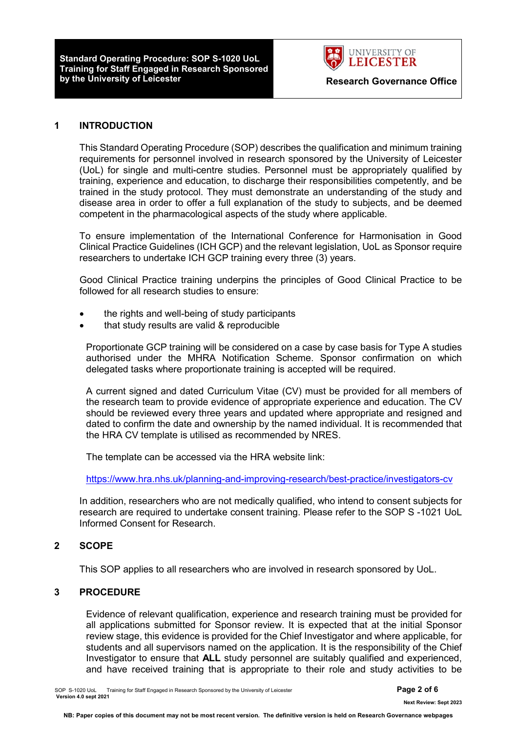**Standard Operating Procedure: SOP S-1020 UoL Training for Staff Engaged in Research Sponsored** 



#### **1 INTRODUCTION**

This Standard Operating Procedure (SOP) describes the qualification and minimum training requirements for personnel involved in research sponsored by the University of Leicester (UoL) for single and multi-centre studies. Personnel must be appropriately qualified by training, experience and education, to discharge their responsibilities competently, and be trained in the study protocol. They must demonstrate an understanding of the study and disease area in order to offer a full explanation of the study to subjects, and be deemed competent in the pharmacological aspects of the study where applicable.

To ensure implementation of the International Conference for Harmonisation in Good Clinical Practice Guidelines (ICH GCP) and the relevant legislation, UoL as Sponsor require researchers to undertake ICH GCP training every three (3) years.

Good Clinical Practice training underpins the principles of Good Clinical Practice to be followed for all research studies to ensure:

- the rights and well-being of study participants
- that study results are valid & reproducible

Proportionate GCP training will be considered on a case by case basis for Type A studies authorised under the MHRA Notification Scheme. Sponsor confirmation on which delegated tasks where proportionate training is accepted will be required.

A current signed and dated Curriculum Vitae (CV) must be provided for all members of the research team to provide evidence of appropriate experience and education. The CV should be reviewed every three years and updated where appropriate and resigned and dated to confirm the date and ownership by the named individual. It is recommended that the HRA CV template is utilised as recommended by NRES.

The template can be accessed via the HRA website link:

<https://www.hra.nhs.uk/planning-and-improving-research/best-practice/investigators-cv>

In addition, researchers who are not medically qualified, who intend to consent subjects for research are required to undertake consent training. Please refer to the SOP S -1021 UoL Informed Consent for Research.

#### **2 SCOPE**

This SOP applies to all researchers who are involved in research sponsored by UoL.

#### **3 PROCEDURE**

Evidence of relevant qualification, experience and research training must be provided for all applications submitted for Sponsor review. It is expected that at the initial Sponsor review stage, this evidence is provided for the Chief Investigator and where applicable, for students and all supervisors named on the application. It is the responsibility of the Chief Investigator to ensure that **ALL** study personnel are suitably qualified and experienced, and have received training that is appropriate to their role and study activities to be

SOP S-1020 UoL Training for Staff Engaged in Research Sponsored by the University of Leicester **Page 2 of 6 Version 4.0 sept 2021** 

 **Next Review: Sept 2023**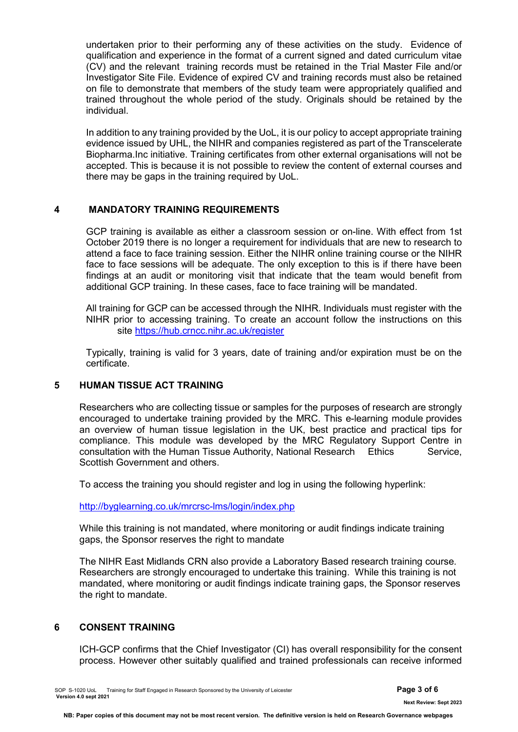undertaken prior to their performing any of these activities on the study. Evidence of qualification and experience in the format of a current signed and dated curriculum vitae (CV) and the relevant training records must be retained in the Trial Master File and/or Investigator Site File. Evidence of expired CV and training records must also be retained on file to demonstrate that members of the study team were appropriately qualified and trained throughout the whole period of the study. Originals should be retained by the individual.

In addition to any training provided by the UoL, it is our policy to accept appropriate training evidence issued by UHL, the NIHR and companies registered as part of the Transcelerate Biopharma.Inc initiative. Training certificates from other external organisations will not be accepted. This is because it is not possible to review the content of external courses and there may be gaps in the training required by UoL.

#### **4 MANDATORY TRAINING REQUIREMENTS**

GCP training is available as either a classroom session or on-line. With effect from 1st October 2019 there is no longer a requirement for individuals that are new to research to attend a face to face training session. Either the NIHR online training course or the NIHR face to face sessions will be adequate. The only exception to this is if there have been findings at an audit or monitoring visit that indicate that the team would benefit from additional GCP training. In these cases, face to face training will be mandated.

All training for GCP can be accessed through the NIHR. Individuals must register with the NIHR prior to accessing training. To create an account follow the instructions on this site [https://hub.crncc.nihr.ac.uk/register](http://vsea.xuhl-tr.nhs.uk:32224/?dmVyPTEuMDAxJiYzNWVhYWQxZmU2YmE2MDhjZT01RDhDOUIyNl84Nzk0NV85MjIyXzImJjdkNTZhZmUzMzY4ODJjNj0xMjIzJiZ1cmw9aHR0cHMlM0ElMkYlMkZodWIlMkVjcm5jYyUyRW5paHIlMkVhYyUyRXVrJTJGcmVnaXN0ZXI=)

Typically, training is valid for 3 years, date of training and/or expiration must be on the certificate.

#### **5 HUMAN TISSUE ACT TRAINING**

Researchers who are collecting tissue or samples for the purposes of research are strongly encouraged to undertake training provided by the MRC. This e-learning module provides an overview of human tissue legislation in the UK, best practice and practical tips for compliance. This module was developed by the MRC Regulatory Support Centre in consultation with the Human Tissue Authority, National Research Ethics Service, Scottish Government and others.

To access the training you should register and log in using the following hyperlink:

<http://byglearning.co.uk/mrcrsc-lms/login/index.php>

While this training is not mandated, where monitoring or audit findings indicate training gaps, the Sponsor reserves the right to mandate

The NIHR East Midlands CRN also provide a Laboratory Based research training course. Researchers are strongly encouraged to undertake this training. While this training is not mandated, where monitoring or audit findings indicate training gaps, the Sponsor reserves the right to mandate.

#### **6 CONSENT TRAINING**

ICH-GCP confirms that the Chief Investigator (CI) has overall responsibility for the consent process. However other suitably qualified and trained professionals can receive informed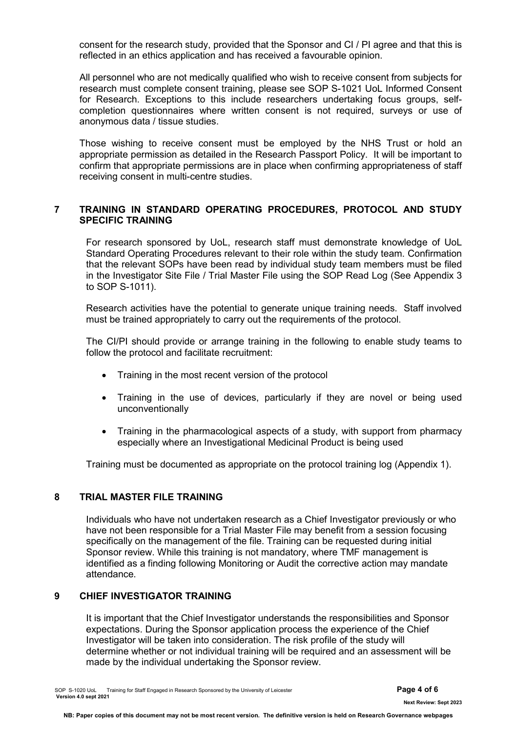consent for the research study, provided that the Sponsor and CI / PI agree and that this is reflected in an ethics application and has received a favourable opinion.

All personnel who are not medically qualified who wish to receive consent from subjects for research must complete consent training, please see SOP S-1021 UoL Informed Consent for Research. Exceptions to this include researchers undertaking focus groups, selfcompletion questionnaires where written consent is not required, surveys or use of anonymous data / tissue studies.

Those wishing to receive consent must be employed by the NHS Trust or hold an appropriate permission as detailed in the Research Passport Policy. It will be important to confirm that appropriate permissions are in place when confirming appropriateness of staff receiving consent in multi-centre studies.

### **7 TRAINING IN STANDARD OPERATING PROCEDURES, PROTOCOL AND STUDY SPECIFIC TRAINING**

For research sponsored by UoL, research staff must demonstrate knowledge of UoL Standard Operating Procedures relevant to their role within the study team. Confirmation that the relevant SOPs have been read by individual study team members must be filed in the Investigator Site File / Trial Master File using the SOP Read Log (See Appendix 3 to SOP S-1011).

Research activities have the potential to generate unique training needs. Staff involved must be trained appropriately to carry out the requirements of the protocol.

The CI/PI should provide or arrange training in the following to enable study teams to follow the protocol and facilitate recruitment:

- Training in the most recent version of the protocol
- Training in the use of devices, particularly if they are novel or being used unconventionally
- Training in the pharmacological aspects of a study, with support from pharmacy especially where an Investigational Medicinal Product is being used

Training must be documented as appropriate on the protocol training log (Appendix 1).

#### **8 TRIAL MASTER FILE TRAINING**

Individuals who have not undertaken research as a Chief Investigator previously or who have not been responsible for a Trial Master File may benefit from a session focusing specifically on the management of the file. Training can be requested during initial Sponsor review. While this training is not mandatory, where TMF management is identified as a finding following Monitoring or Audit the corrective action may mandate attendance.

#### **9 CHIEF INVESTIGATOR TRAINING**

It is important that the Chief Investigator understands the responsibilities and Sponsor expectations. During the Sponsor application process the experience of the Chief Investigator will be taken into consideration. The risk profile of the study will determine whether or not individual training will be required and an assessment will be made by the individual undertaking the Sponsor review.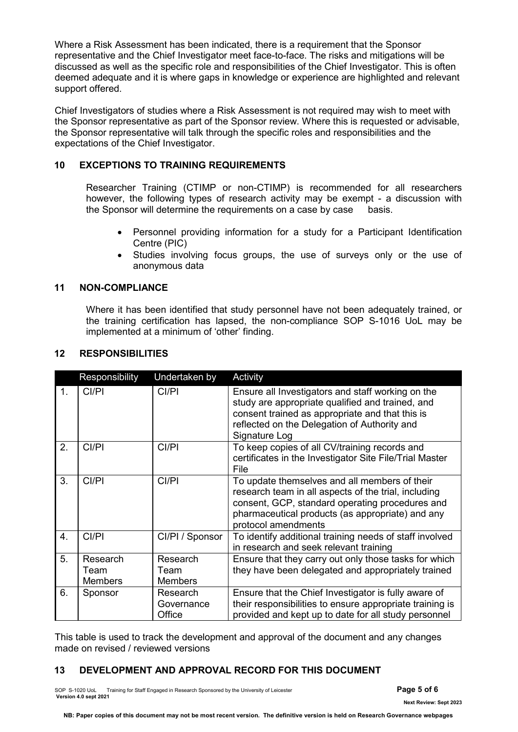Where a Risk Assessment has been indicated, there is a requirement that the Sponsor representative and the Chief Investigator meet face-to-face. The risks and mitigations will be discussed as well as the specific role and responsibilities of the Chief Investigator. This is often deemed adequate and it is where gaps in knowledge or experience are highlighted and relevant support offered.

Chief Investigators of studies where a Risk Assessment is not required may wish to meet with the Sponsor representative as part of the Sponsor review. Where this is requested or advisable, the Sponsor representative will talk through the specific roles and responsibilities and the expectations of the Chief Investigator.

### **10 EXCEPTIONS TO TRAINING REQUIREMENTS**

Researcher Training (CTIMP or non-CTIMP) is recommended for all researchers however, the following types of research activity may be exempt - a discussion with the Sponsor will determine the requirements on a case by case basis.

- Personnel providing information for a study for a Participant Identification Centre (PIC)
- Studies involving focus groups, the use of surveys only or the use of anonymous data

#### **11 NON-COMPLIANCE**

Where it has been identified that study personnel have not been adequately trained, or the training certification has lapsed, the non-compliance SOP S-1016 UoL may be implemented at a minimum of 'other' finding.

|    | Responsibility                     | Undertaken by                                                                                                                                                                                                                                | Activity                                                                                                                                                                                                                  |  |
|----|------------------------------------|----------------------------------------------------------------------------------------------------------------------------------------------------------------------------------------------------------------------------------------------|---------------------------------------------------------------------------------------------------------------------------------------------------------------------------------------------------------------------------|--|
| 1. | CI/PI                              | CI/PI                                                                                                                                                                                                                                        | Ensure all Investigators and staff working on the<br>study are appropriate qualified and trained, and<br>consent trained as appropriate and that this is<br>reflected on the Delegation of Authority and<br>Signature Log |  |
| 2. | CI/PI                              | CI/PI                                                                                                                                                                                                                                        | To keep copies of all CV/training records and<br>certificates in the Investigator Site File/Trial Master<br>File                                                                                                          |  |
| 3. | CI/PI                              | CI/PI<br>To update themselves and all members of their<br>research team in all aspects of the trial, including<br>consent, GCP, standard operating procedures and<br>pharmaceutical products (as appropriate) and any<br>protocol amendments |                                                                                                                                                                                                                           |  |
| 4. | CI/PI                              | CI/PI / Sponsor                                                                                                                                                                                                                              | To identify additional training needs of staff involved<br>in research and seek relevant training                                                                                                                         |  |
| 5. | Research<br>Team<br><b>Members</b> | Research<br>Team<br><b>Members</b>                                                                                                                                                                                                           | Ensure that they carry out only those tasks for which<br>they have been delegated and appropriately trained                                                                                                               |  |
| 6. | Sponsor                            | Research<br>Governance<br>Office                                                                                                                                                                                                             | Ensure that the Chief Investigator is fully aware of<br>their responsibilities to ensure appropriate training is<br>provided and kept up to date for all study personnel                                                  |  |

#### **12 RESPONSIBILITIES**

This table is used to track the development and approval of the document and any changes made on revised / reviewed versions

## **13 DEVELOPMENT AND APPROVAL RECORD FOR THIS DOCUMENT**

SOP S-1020 UoL Training for Staff Engaged in Research Sponsored by the University of Leicester **Page 5 of 6 Version 4.0 sept 2021** 

 **Next Review: Sept 2023**

**NB: Paper copies of this document may not be most recent version. The definitive version is held on Research Governance webpages**